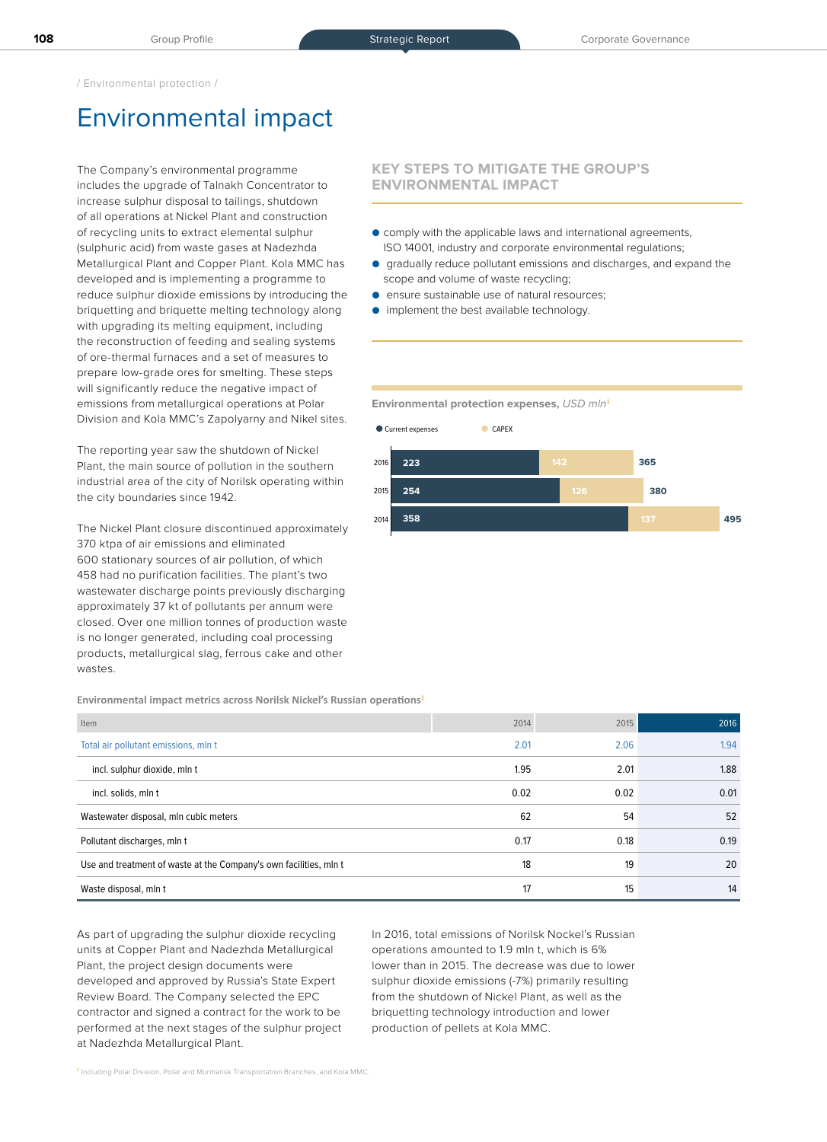/ Environmental protection /

## Environmental impact

The Company's environmental programme includes the upgrade of Talnakh Concentrator to increase sulphur disposal to tailings, shutdown of all operations at Nickel Plant and construction of recycling units to extract elemental sulphur (sulphuric acid) from waste gases at Nadezhda Metallurgical Plant and Copper Plant. Kola MMC has developed and is implementing a programme to reduce sulphur dioxide emissions by introducing the briquetting and briquette melting technology along with upgrading its melting equipment, including the reconstruction of feeding and sealing systems of ore-thermal furnaces and a set of measures to prepare low-grade ores for smelting. These steps will significantly reduce the negative impact of emissions from metallurgical operations at Polar Division and Kola MMC's Zapolyarny and Nikel sites.

The reporting year saw the shutdown of Nickel Plant, the main source of pollution in the southern industrial area of the city of Norilsk operating within the city boundaries since 1942.

The Nickel Plant closure discontinued approximately 370 ktpa of air emissions and eliminated 600 stationary sources of air pollution, of which 458 had no purification facilities. The plant's two wastewater discharge points previously discharging approximately 37 kt of pollutants per annum were closed. Over one million tonnes of production waste is no longer generated, including coal processing products, metallurgical slag, ferrous cake and other wastes.

**Environmental impact metrics across Norilsk Nickel's Russian operations<sup>1</sup>**

| Item                                                              | 2014 | 2015 | 2016 |
|-------------------------------------------------------------------|------|------|------|
| Total air pollutant emissions, mln t                              | 2.01 | 2.06 | 1.94 |
| incl. sulphur dioxide, mln t                                      | 1.95 | 2.01 | 1.88 |
| incl. solids, mln t                                               | 0.02 | 0.02 | 0.01 |
| Wastewater disposal, mln cubic meters                             | 62   | 54   | 52   |
| Pollutant discharges, mln t                                       | 0.17 | 0.18 | 0.19 |
| Use and treatment of waste at the Company's own facilities, mln t | 18   | 19   | 20   |
| Waste disposal, mln t                                             | 17   | 15   | 14   |

As part of upgrading the sulphur dioxide recycling units at Copper Plant and Nadezhda Metallurgical Plant, the project design documents were developed and approved by Russia's State Expert Review Board. The Company selected the EPC contractor and signed a contract for the work to be performed at the next stages of the sulphur project at Nadezhda Metallurgical Plant.

In 2016, total emissions of Norilsk Nockel's Russian operations amounted to 1.9 mln t, which is 6% lower than in 2015. The decrease was due to lower sulphur dioxide emissions (-7%) primarily resulting from the shutdown of Nickel Plant, as well as the briquetting technology introduction and lower production of pellets at Kola MMC.

## **KEY STEPS TO MITIGATE THE GROUP'S ENVIRONMENTAL IMPACT**

- comply with the applicable laws and international agreements, ISO 14001, industry and corporate environmental regulations;
- gradually reduce pollutant emissions and discharges, and expand the scope and volume of waste recycling;
- ensure sustainable use of natural resources;
- implement the best available technology.

**Environmental protection expenses,** USD mln**<sup>1</sup>**

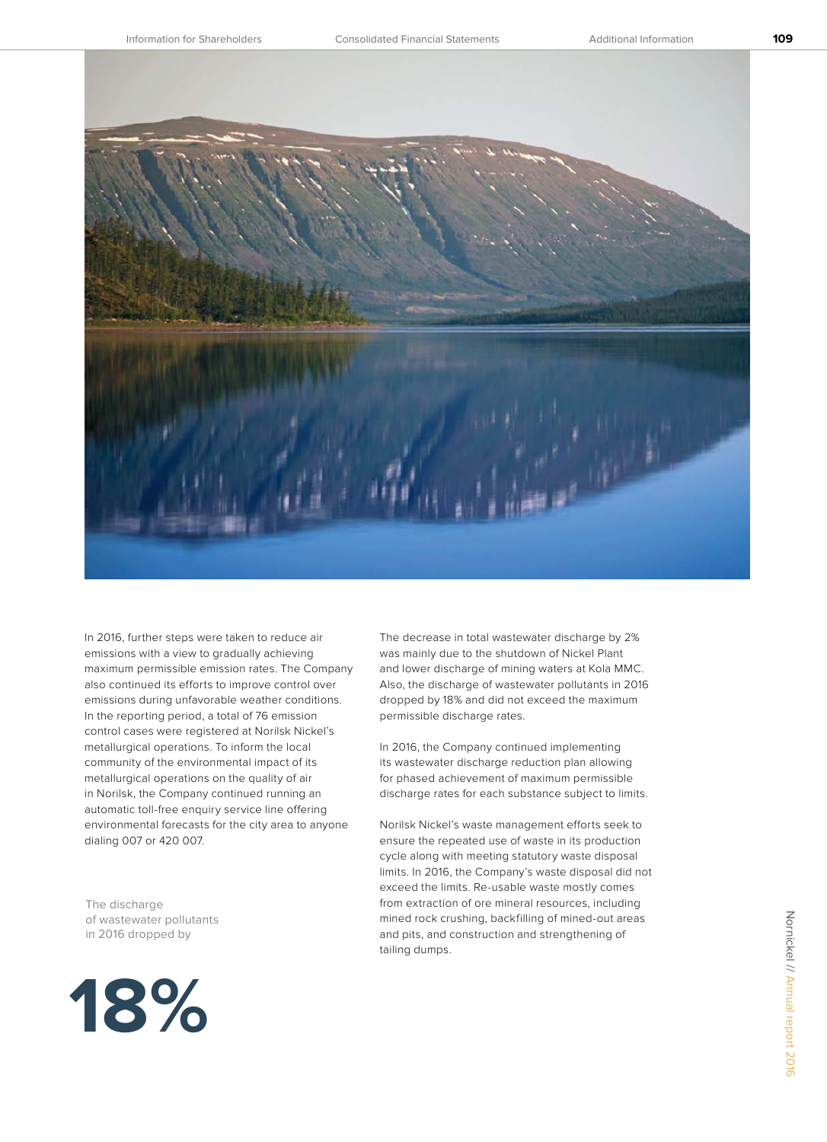

In 2016, further steps were taken to reduce air emissions with a view to gradually achieving maximum permissible emission rates. The Company also continued its efforts to improve control over emissions during unfavorable weather conditions. In the reporting period, a total of 76 emission control cases were registered at Norilsk Nickel's metallurgical operations. To inform the local community of the environmental impact of its metallurgical operations on the quality of air in Norilsk, the Company continued running an automatic toll-free enquiry service line offering environmental forecasts for the city area to anyone dialing 007 or 420 007.

The discharge of wastewater pollutants in 2016 dropped by



The decrease in total wastewater discharge by 2% was mainly due to the shutdown of Nickel Plant and lower discharge of mining waters at Kola MMC. Also, the discharge of wastewater pollutants in 2016 dropped by 18% and did not exceed the maximum permissible discharge rates.

In 2016, the Company continued implementing its wastewater discharge reduction plan allowing for phased achievement of maximum permissible discharge rates for each substance subject to limits.

Norilsk Nickel's waste management efforts seek to ensure the repeated use of waste in its production cycle along with meeting statutory waste disposal limits. In 2016, the Company's waste disposal did not exceed the limits. Re-usable waste mostly comes from extraction of ore mineral resources, including mined rock crushing, backfilling of mined-out areas and pits, and construction and strengthening of tailing dumps.